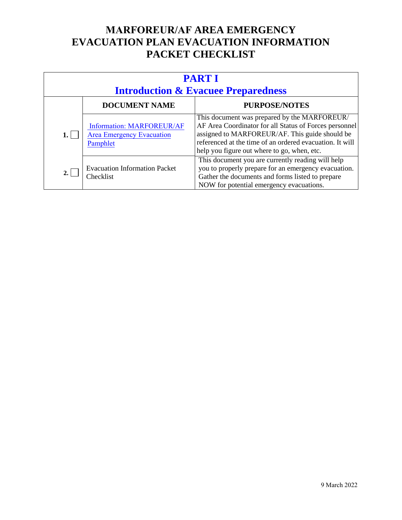| <b>PARTI</b><br><b>Introduction &amp; Evacuee Preparedness</b> |                                                                                  |                                                                                                                                                                                                                                                                     |
|----------------------------------------------------------------|----------------------------------------------------------------------------------|---------------------------------------------------------------------------------------------------------------------------------------------------------------------------------------------------------------------------------------------------------------------|
|                                                                | <b>DOCUMENT NAME</b>                                                             | <b>PURPOSE/NOTES</b>                                                                                                                                                                                                                                                |
|                                                                | <b>Information: MARFOREUR/AF</b><br><b>Area Emergency Evacuation</b><br>Pamphlet | This document was prepared by the MARFOREUR/<br>AF Area Coordinator for all Status of Forces personnel<br>assigned to MARFOREUR/AF. This guide should be<br>referenced at the time of an ordered evacuation. It will<br>help you figure out where to go, when, etc. |
|                                                                | <b>Evacuation Information Packet</b><br>Checklist                                | This document you are currently reading will help<br>you to properly prepare for an emergency evacuation.<br>Gather the documents and forms listed to prepare<br>NOW for potential emergency evacuations.                                                           |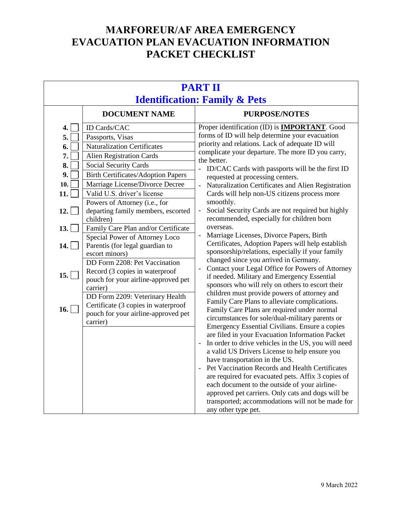| <b>PART II</b><br><b>Identification: Family &amp; Pets</b>                        |                                                                                                                                                                                                                                                                                                                                                                                                                                                                                                                                                                                                                                                                                                                               |                                                                                                                                                                                                                                                                                                                                                                                                                                                                                                                                                                                                                                                                                                                                                                                                                                                                                                                                                                                                                                                                                                                                                                                                                                                                                                                                                                                                                                                                                                                                                                                                                               |  |
|-----------------------------------------------------------------------------------|-------------------------------------------------------------------------------------------------------------------------------------------------------------------------------------------------------------------------------------------------------------------------------------------------------------------------------------------------------------------------------------------------------------------------------------------------------------------------------------------------------------------------------------------------------------------------------------------------------------------------------------------------------------------------------------------------------------------------------|-------------------------------------------------------------------------------------------------------------------------------------------------------------------------------------------------------------------------------------------------------------------------------------------------------------------------------------------------------------------------------------------------------------------------------------------------------------------------------------------------------------------------------------------------------------------------------------------------------------------------------------------------------------------------------------------------------------------------------------------------------------------------------------------------------------------------------------------------------------------------------------------------------------------------------------------------------------------------------------------------------------------------------------------------------------------------------------------------------------------------------------------------------------------------------------------------------------------------------------------------------------------------------------------------------------------------------------------------------------------------------------------------------------------------------------------------------------------------------------------------------------------------------------------------------------------------------------------------------------------------------|--|
|                                                                                   | <b>DOCUMENT NAME</b>                                                                                                                                                                                                                                                                                                                                                                                                                                                                                                                                                                                                                                                                                                          | <b>PURPOSE/NOTES</b>                                                                                                                                                                                                                                                                                                                                                                                                                                                                                                                                                                                                                                                                                                                                                                                                                                                                                                                                                                                                                                                                                                                                                                                                                                                                                                                                                                                                                                                                                                                                                                                                          |  |
| 4.<br>5.<br>6.<br>7.<br>8.<br>9.<br>10.<br>11.<br>12.<br>13.<br>14.<br>15.<br>16. | ID Cards/CAC<br>Passports, Visas<br><b>Naturalization Certificates</b><br><b>Alien Registration Cards</b><br><b>Social Security Cards</b><br><b>Birth Certificates/Adoption Papers</b><br>Marriage License/Divorce Decree<br>Valid U.S. driver's license<br>Powers of Attorney (i.e., for<br>departing family members, escorted<br>children)<br>Family Care Plan and/or Certificate<br>Special Power of Attorney Loco<br>Parentis (for legal guardian to<br>escort minors)<br>DD Form 2208: Pet Vaccination<br>Record (3 copies in waterproof<br>pouch for your airline-approved pet<br>carrier)<br>DD Form 2209: Veterinary Health<br>Certificate (3 copies in waterproof<br>pouch for your airline-approved pet<br>carrier) | Proper identification (ID) is <b>IMPORTANT</b> . Good<br>forms of ID will help determine your evacuation<br>priority and relations. Lack of adequate ID will<br>complicate your departure. The more ID you carry,<br>the better.<br>ID/CAC Cards with passports will be the first ID<br>requested at processing centers.<br>Naturalization Certificates and Alien Registration<br>$\Box$<br>Cards will help non-US citizens process more<br>smoothly.<br>Social Security Cards are not required but highly<br>$\frac{1}{2}$<br>recommended, especially for children born<br>overseas.<br>Marriage Licenses, Divorce Papers, Birth<br>Certificates, Adoption Papers will help establish<br>sponsorship/relations, especially if your family<br>changed since you arrived in Germany.<br>Contact your Legal Office for Powers of Attorney<br>$\blacksquare$<br>if needed. Military and Emergency Essential<br>sponsors who will rely on others to escort their<br>children must provide powers of attorney and<br>Family Care Plans to alleviate complications.<br>Family Care Plans are required under normal<br>circumstances for sole/dual-military parents or<br>Emergency Essential Civilians. Ensure a copies<br>are filed in your Evacuation Information Packet<br>In order to drive vehicles in the US, you will need<br>a valid US Drivers License to help ensure you<br>have transportation in the US.<br>Pet Vaccination Records and Health Certificates<br>are required for evacuated pets. Affix 3 copies of<br>each document to the outside of your airline-<br>approved pet carriers. Only cats and dogs will be |  |
|                                                                                   |                                                                                                                                                                                                                                                                                                                                                                                                                                                                                                                                                                                                                                                                                                                               | transported; accommodations will not be made for<br>any other type pet.                                                                                                                                                                                                                                                                                                                                                                                                                                                                                                                                                                                                                                                                                                                                                                                                                                                                                                                                                                                                                                                                                                                                                                                                                                                                                                                                                                                                                                                                                                                                                       |  |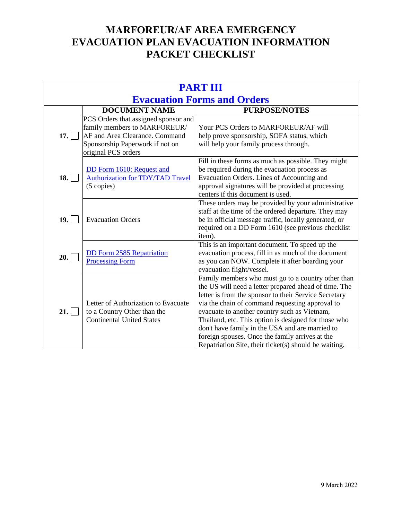| <b>PART III</b>                    |                                                                                                                                                                  |                                                                                                                                                                                                                                                                                                                                                                                                                                                                                                |
|------------------------------------|------------------------------------------------------------------------------------------------------------------------------------------------------------------|------------------------------------------------------------------------------------------------------------------------------------------------------------------------------------------------------------------------------------------------------------------------------------------------------------------------------------------------------------------------------------------------------------------------------------------------------------------------------------------------|
| <b>Evacuation Forms and Orders</b> |                                                                                                                                                                  |                                                                                                                                                                                                                                                                                                                                                                                                                                                                                                |
|                                    | <b>DOCUMENT NAME</b>                                                                                                                                             | <b>PURPOSE/NOTES</b>                                                                                                                                                                                                                                                                                                                                                                                                                                                                           |
| 17.                                | PCS Orders that assigned sponsor and<br>family members to MARFOREUR/<br>AF and Area Clearance. Command<br>Sponsorship Paperwork if not on<br>original PCS orders | Your PCS Orders to MARFOREUR/AF will<br>help prove sponsorship, SOFA status, which<br>will help your family process through.                                                                                                                                                                                                                                                                                                                                                                   |
| 18.                                | DD Form 1610: Request and<br><b>Authorization for TDY/TAD Travel</b><br>$(5$ copies)                                                                             | Fill in these forms as much as possible. They might<br>be required during the evacuation process as<br>Evacuation Orders. Lines of Accounting and<br>approval signatures will be provided at processing<br>centers if this document is used.                                                                                                                                                                                                                                                   |
| 19.                                | <b>Evacuation Orders</b>                                                                                                                                         | These orders may be provided by your administrative<br>staff at the time of the ordered departure. They may<br>be in official message traffic, locally generated, or<br>required on a DD Form 1610 (see previous checklist<br>item).                                                                                                                                                                                                                                                           |
| 20.                                | <b>DD</b> Form 2585 Repatriation<br><b>Processing Form</b>                                                                                                       | This is an important document. To speed up the<br>evacuation process, fill in as much of the document<br>as you can NOW. Complete it after boarding your<br>evacuation flight/vessel.                                                                                                                                                                                                                                                                                                          |
| 21.                                | Letter of Authorization to Evacuate<br>to a Country Other than the<br><b>Continental United States</b>                                                           | Family members who must go to a country other than<br>the US will need a letter prepared ahead of time. The<br>letter is from the sponsor to their Service Secretary<br>via the chain of command requesting approval to<br>evacuate to another country such as Vietnam,<br>Thailand, etc. This option is designed for those who<br>don't have family in the USA and are married to<br>foreign spouses. Once the family arrives at the<br>Repatriation Site, their ticket(s) should be waiting. |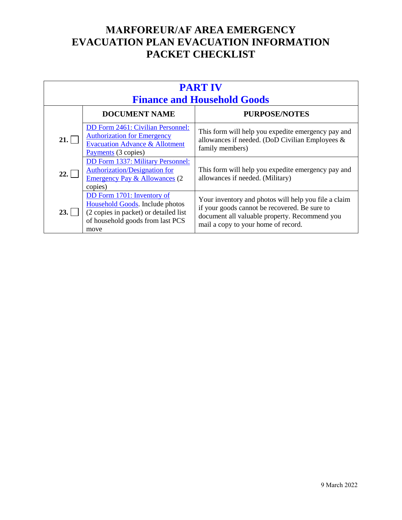| <b>PART IV</b><br><b>Finance and Household Goods</b> |                                                                                                                                                    |                                                                                                                                                                                               |
|------------------------------------------------------|----------------------------------------------------------------------------------------------------------------------------------------------------|-----------------------------------------------------------------------------------------------------------------------------------------------------------------------------------------------|
|                                                      | <b>DOCUMENT NAME</b>                                                                                                                               | <b>PURPOSE/NOTES</b>                                                                                                                                                                          |
| 21.                                                  | DD Form 2461: Civilian Personnel:<br><b>Authorization for Emergency</b><br><b>Evacuation Advance &amp; Allotment</b><br>Payments (3 copies)        | This form will help you expedite emergency pay and<br>allowances if needed. (DoD Civilian Employees &<br>family members)                                                                      |
| 22.                                                  | DD Form 1337: Military Personnel:<br><b>Authorization/Designation for</b><br><b>Emergency Pay &amp; Allowances (2)</b><br>copies)                  | This form will help you expedite emergency pay and<br>allowances if needed. (Military)                                                                                                        |
| 23.1                                                 | DD Form 1701: Inventory of<br>Household Goods. Include photos<br>(2 copies in packet) or detailed list<br>of household goods from last PCS<br>move | Your inventory and photos will help you file a claim<br>if your goods cannot be recovered. Be sure to<br>document all valuable property. Recommend you<br>mail a copy to your home of record. |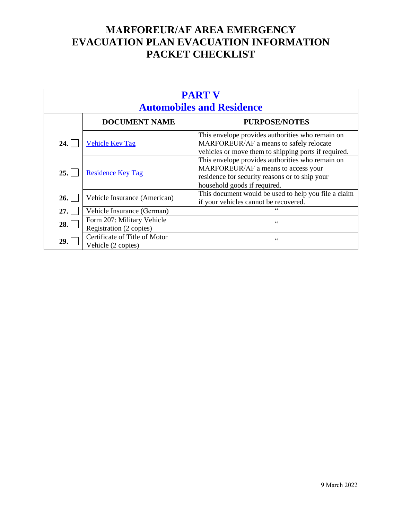| <b>PART V</b><br><b>Automobiles and Residence</b> |                                                       |                                                                                                                                                                           |
|---------------------------------------------------|-------------------------------------------------------|---------------------------------------------------------------------------------------------------------------------------------------------------------------------------|
|                                                   | <b>DOCUMENT NAME</b>                                  | <b>PURPOSE/NOTES</b>                                                                                                                                                      |
| 24.1                                              | <b>Vehicle Key Tag</b>                                | This envelope provides authorities who remain on<br>MARFOREUR/AF a means to safely relocate<br>vehicles or move them to shipping ports if required.                       |
| 25.1                                              | <b>Residence Key Tag</b>                              | This envelope provides authorities who remain on<br>MARFOREUR/AF a means to access your<br>residence for security reasons or to ship your<br>household goods if required. |
| 26.                                               | Vehicle Insurance (American)                          | This document would be used to help you file a claim<br>if your vehicles cannot be recovered.                                                                             |
| 27.                                               | Vehicle Insurance (German)                            | $\epsilon$                                                                                                                                                                |
| 28.                                               | Form 207: Military Vehicle<br>Registration (2 copies) | C C                                                                                                                                                                       |
| 29.                                               | Certificate of Title of Motor<br>Vehicle (2 copies)   | C C                                                                                                                                                                       |